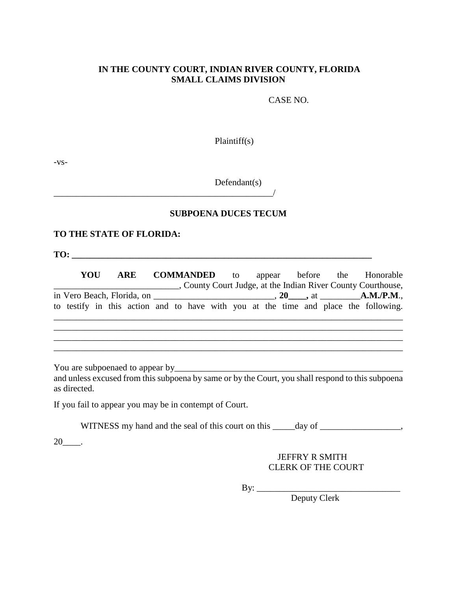#### **IN THE COUNTY COURT, INDIAN RIVER COUNTY, FLORIDA SMALL CLAIMS DIVISION**

CASE NO.

Plaintiff(s)

-vs-

Defendant(s)

#### **SUBPOENA DUCES TECUM**

#### **TO THE STATE OF FLORIDA:**

\_\_\_\_\_\_\_\_\_\_\_\_\_\_\_\_\_\_\_\_\_\_\_\_\_\_\_\_\_\_\_\_\_\_\_\_\_\_\_\_\_\_\_\_\_\_\_\_\_/

**TO: \_\_\_\_\_\_\_\_\_\_\_\_\_\_\_\_\_\_\_\_\_\_\_\_\_\_\_\_\_\_\_\_\_\_\_\_\_\_\_\_\_\_\_\_\_\_\_\_\_\_\_\_\_\_\_\_\_\_\_\_\_\_\_\_\_\_\_** 

**YOU ARE COMMANDED** to appear before the Honorable \_\_\_\_\_\_\_\_\_\_\_\_\_\_\_\_\_\_\_\_\_\_\_\_\_\_\_\_, County Court Judge, at the Indian River County Courthouse, in Vero Beach, Florida, on \_\_\_\_\_\_\_\_\_\_\_\_\_\_\_\_\_\_\_\_\_\_\_\_\_\_\_, **20\_\_\_\_,** at \_\_\_\_\_\_\_\_\_**A.M./P.M**., to testify in this action and to have with you at the time and place the following. \_\_\_\_\_\_\_\_\_\_\_\_\_\_\_\_\_\_\_\_\_\_\_\_\_\_\_\_\_\_\_\_\_\_\_\_\_\_\_\_\_\_\_\_\_\_\_\_\_\_\_\_\_\_\_\_\_\_\_\_\_\_\_\_\_\_\_\_\_\_\_\_\_\_\_\_\_\_

 $\mathcal{L}_\mathcal{L} = \{ \mathcal{L}_\mathcal{L} = \{ \mathcal{L}_\mathcal{L} = \{ \mathcal{L}_\mathcal{L} = \{ \mathcal{L}_\mathcal{L} = \{ \mathcal{L}_\mathcal{L} = \{ \mathcal{L}_\mathcal{L} = \{ \mathcal{L}_\mathcal{L} = \{ \mathcal{L}_\mathcal{L} = \{ \mathcal{L}_\mathcal{L} = \{ \mathcal{L}_\mathcal{L} = \{ \mathcal{L}_\mathcal{L} = \{ \mathcal{L}_\mathcal{L} = \{ \mathcal{L}_\mathcal{L} = \{ \mathcal{L}_\mathcal{$ \_\_\_\_\_\_\_\_\_\_\_\_\_\_\_\_\_\_\_\_\_\_\_\_\_\_\_\_\_\_\_\_\_\_\_\_\_\_\_\_\_\_\_\_\_\_\_\_\_\_\_\_\_\_\_\_\_\_\_\_\_\_\_\_\_\_\_\_\_\_\_\_\_\_\_\_\_\_ \_\_\_\_\_\_\_\_\_\_\_\_\_\_\_\_\_\_\_\_\_\_\_\_\_\_\_\_\_\_\_\_\_\_\_\_\_\_\_\_\_\_\_\_\_\_\_\_\_\_\_\_\_\_\_\_\_\_\_\_\_\_\_\_\_\_\_\_\_\_\_\_\_\_\_\_\_\_

You are subpoenaed to appear by example the subset of the subset of the subset of the subset of the subset of the subset of the subset of the subset of the subset of the subset of the subset of the subset of the subset of

and unless excused from this subpoena by same or by the Court, you shall respond to this subpoena as directed.

If you fail to appear you may be in contempt of Court.

WITNESS my hand and the seal of this court on this \_\_\_\_\_day of \_\_\_\_\_\_\_\_\_\_\_\_\_\_\_\_,

 $20$ \_\_\_\_\_.

 JEFFRY R SMITH CLERK OF THE COURT

By: \_\_\_\_\_\_\_\_\_\_\_\_\_\_\_\_\_\_\_\_\_\_\_\_\_\_\_\_\_\_\_\_

Deputy Clerk